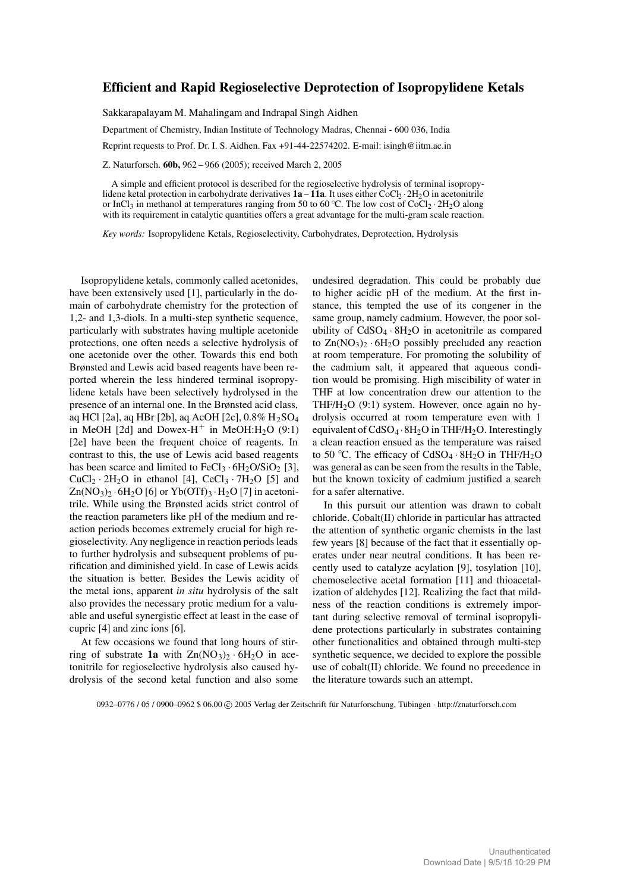# **Efficient and Rapid Regioselective Deprotection of Isopropylidene Ketals**

Sakkarapalayam M. Mahalingam and Indrapal Singh Aidhen

Department of Chemistry, Indian Institute of Technology Madras, Chennai - 600 036, India

Reprint requests to Prof. Dr. I. S. Aidhen. Fax +91-44-22574202. E-mail: isingh@iitm.ac.in

Z. Naturforsch. **60b,** 962 – 966 (2005); received March 2, 2005

A simple and efficient protocol is described for the regioselective hydrolysis of terminal isopropylidene ketal protection in carbohydrate derivatives **1a** – **11a**. It uses either CoCl<sub>2</sub> · 2H<sub>2</sub>O in acetonitrile or InCl<sub>3</sub> in methanol at temperatures ranging from 50 to 60 °C. The low cost of CoCl<sub>2</sub> · 2H<sub>2</sub>O along with its requirement in catalytic quantities offers a great advantage for the multi-gram scale reaction.

*Key words:* Isopropylidene Ketals, Regioselectivity, Carbohydrates, Deprotection, Hydrolysis

Isopropylidene ketals, commonly called acetonides, have been extensively used [1], particularly in the domain of carbohydrate chemistry for the protection of 1,2- and 1,3-diols. In a multi-step synthetic sequence, particularly with substrates having multiple acetonide protections, one often needs a selective hydrolysis of one acetonide over the other. Towards this end both Brønsted and Lewis acid based reagents have been reported wherein the less hindered terminal isopropylidene ketals have been selectively hydrolysed in the presence of an internal one. In the Brønsted acid class, aq HCl [2a], aq HBr [2b], aq AcOH [2c], 0.8% H2SO<sup>4</sup> in MeOH [2d] and Dowex-H<sup>+</sup> in MeOH:H<sub>2</sub>O (9:1) [2e] have been the frequent choice of reagents. In contrast to this, the use of Lewis acid based reagents has been scarce and limited to  $FeCl<sub>3</sub> \cdot 6H<sub>2</sub>O/SiO<sub>2</sub> [3],$  $CuCl<sub>2</sub> · 2H<sub>2</sub>O$  in ethanol [4],  $CeCl<sub>3</sub> · 7H<sub>2</sub>O$  [5] and  $Zn(NO<sub>3</sub>)<sub>2</sub> · 6H<sub>2</sub>O [6] or Yb(OTf)<sub>3</sub> · H<sub>2</sub>O [7] in acetoni$ trile. While using the Brønsted acids strict control of the reaction parameters like pH of the medium and reaction periods becomes extremely crucial for high regioselectivity. Any negligence in reaction periods leads to further hydrolysis and subsequent problems of purification and diminished yield. In case of Lewis acids the situation is better. Besides the Lewis acidity of the metal ions, apparent *in situ* hydrolysis of the salt also provides the necessary protic medium for a valuable and useful synergistic effect at least in the case of cupric [4] and zinc ions [6].

At few occasions we found that long hours of stirring of substrate **1a** with  $Zn(NO<sub>3</sub>)<sub>2</sub> · 6H<sub>2</sub>O$  in acetonitrile for regioselective hydrolysis also caused hydrolysis of the second ketal function and also some undesired degradation. This could be probably due to higher acidic pH of the medium. At the first instance, this tempted the use of its congener in the same group, namely cadmium. However, the poor solubility of  $CdSO_4 \cdot 8H_2O$  in acetonitrile as compared to  $Zn(NO_3)$ <sup>2</sup> · 6H<sub>2</sub>O possibly precluded any reaction at room temperature. For promoting the solubility of the cadmium salt, it appeared that aqueous condition would be promising. High miscibility of water in THF at low concentration drew our attention to the THF/H<sub>2</sub>O  $(9:1)$  system. However, once again no hydrolysis occurred at room temperature even with 1 equivalent of  $CdSO_4 \cdot 8H_2O$  in THF/H<sub>2</sub>O. Interestingly a clean reaction ensued as the temperature was raised to 50 °C. The efficacy of  $CdSO_4 \cdot 8H_2O$  in THF/H<sub>2</sub>O was general as can be seen from the results in the Table, but the known toxicity of cadmium justified a search for a safer alternative.

In this pursuit our attention was drawn to cobalt chloride. Cobalt(II) chloride in particular has attracted the attention of synthetic organic chemists in the last few years [8] because of the fact that it essentially operates under near neutral conditions. It has been recently used to catalyze acylation [9], tosylation [10], chemoselective acetal formation [11] and thioacetalization of aldehydes [12]. Realizing the fact that mildness of the reaction conditions is extremely important during selective removal of terminal isopropylidene protections particularly in substrates containing other functionalities and obtained through multi-step synthetic sequence, we decided to explore the possible use of cobalt(II) chloride. We found no precedence in the literature towards such an attempt.

0932–0776 / 05 / 0900–0962 \$ 06.00 C 2005 Verlag der Zeitschrift für Naturforschung, Tübingen · http://znaturforsch.com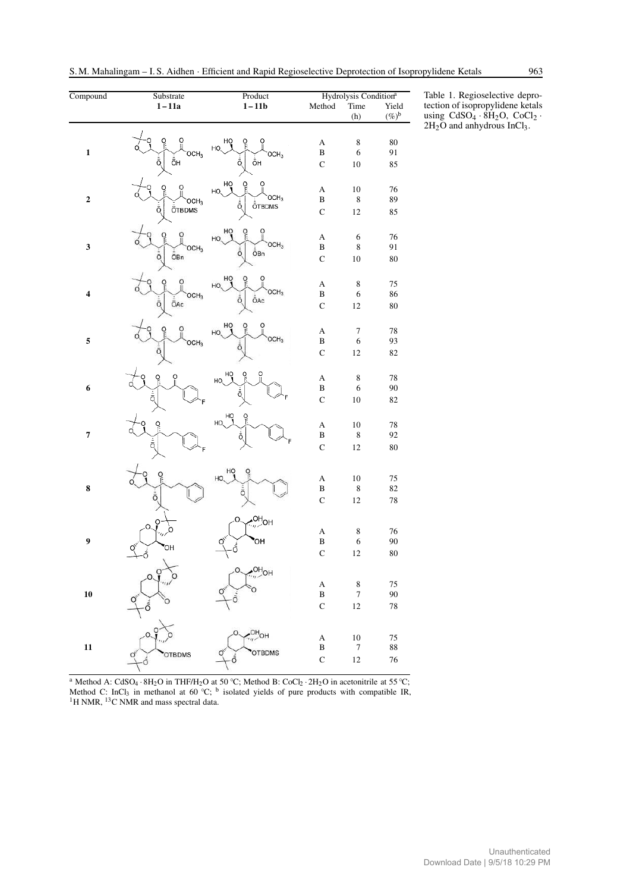| Compound                | Substrate                                             | Product                      | Hydrolysis Condition <sup>a</sup>     |                  |          |
|-------------------------|-------------------------------------------------------|------------------------------|---------------------------------------|------------------|----------|
|                         | $1-11a$                                               | $1-11b$                      | Method                                | Time             | Yield    |
|                         |                                                       |                              |                                       | (h)              | $(\%)^b$ |
|                         | ö                                                     |                              |                                       |                  |          |
| $\mathbf{1}$            |                                                       | HO                           | $\boldsymbol{\rm{A}}$<br>$\, {\bf B}$ | $\,$ 8 $\,$<br>6 | 80<br>91 |
|                         | OCH <sub>3</sub><br>ŌН<br>ō,                          | OCH <sub>3</sub><br>ôн<br>Ō, |                                       |                  |          |
|                         |                                                       |                              | $\mathsf C$                           | 10               | 85       |
|                         |                                                       | HŌ<br>ó                      | A                                     | $10\,$           | 76       |
| $\overline{\mathbf{c}}$ | OCH <sub>3</sub>                                      | HO,<br>OCH3                  | $\, {\bf B}$                          | $\,$ 8 $\,$      | 89       |
|                         | ÖTBDMS<br>Ō.                                          | <b>ÖTBDMS</b><br>Ō.          | $\mathbf C$                           | 12               | 85       |
|                         |                                                       |                              |                                       |                  |          |
| $\overline{\mathbf{3}}$ |                                                       | HO,                          | A                                     | 6                | 76       |
|                         | OCH <sub>3</sub>                                      | OCH <sub>3</sub><br>ŌВn<br>Ō | $\, {\bf B}$                          | $\,$ 8 $\,$      | 91       |
|                         | ŌΒn<br>Ō.                                             |                              | $\mathbf C$                           | 10               | 80       |
|                         |                                                       | HŌ                           |                                       |                  |          |
| $\overline{\mathbf{4}}$ |                                                       | HO,<br>OCH <sub>3</sub>      | $\boldsymbol{\rm{A}}$                 | $\,$ 8 $\,$      | 75       |
|                         | OCH <sub>3</sub><br>$\bar{\bar{\mathbb{O}}}$ Ac<br>Ō. | ŌAc<br>O                     | $\, {\bf B}$                          | 6                | 86       |
|                         |                                                       |                              | $\mathsf C$                           | 12               | 80       |
| 5                       |                                                       |                              | A                                     | 7                | 78       |
|                         | OCH <sub>3</sub>                                      | HO,<br>OCH <sub>3</sub>      | $\, {\bf B}$                          | $\sqrt{6}$       | 93       |
|                         |                                                       |                              | $\mathbf C$                           | $12\,$           | 82       |
|                         |                                                       |                              |                                       |                  |          |
| $\boldsymbol{6}$        |                                                       | HQ<br>о<br>HO,               | $\boldsymbol{\rm{A}}$                 | $\,$ 8 $\,$      | 78       |
|                         |                                                       | ō                            | $\, {\bf B}$                          | 6                | 90       |
|                         | ā                                                     |                              | $\mathbf C$                           | 10               | 82       |
|                         |                                                       | чq<br>ဝှ<br>HO,              |                                       |                  |          |
|                         | ö                                                     |                              | $\boldsymbol{\rm{A}}$                 | $10\,$           | 78       |
| $\overline{7}$          | ō.                                                    | å,                           | $\, {\bf B}$                          | $\,$ 8 $\,$      | 92       |
|                         |                                                       |                              | $\mathsf C$                           | 12               | 80       |
|                         |                                                       | HQ<br>၀ု                     |                                       |                  |          |
|                         | o<br>F                                                | HO.                          | A                                     | $10\,$           | 75       |
| 8                       | ō                                                     | ō                            | $\, {\bf B}$                          | $\,$ 8 $\,$      | 82       |
|                         |                                                       |                              | $\mathbf C$                           | 12               | 78       |
|                         | O                                                     | онон                         |                                       |                  |          |
|                         |                                                       |                              | A                                     | $\,$ 8 $\,$      | 76       |
| 9                       | ΟН                                                    | 'nО<br>δ                     | $\, {\bf B}$                          | 6                | 90       |
|                         | ก้                                                    |                              | $\mathbf C$                           | 12               | 80       |
|                         |                                                       |                              |                                       |                  |          |
|                         |                                                       |                              | $\boldsymbol{\mathsf{A}}$             | $\,$ 8 $\,$      | 75       |
| 10                      |                                                       |                              | $\, {\bf B}$                          | $\boldsymbol{7}$ | 90       |
|                         |                                                       |                              | $\mathbf C$                           | 12               | 78       |
|                         |                                                       |                              |                                       |                  |          |
|                         |                                                       |                              | $\boldsymbol{\rm{A}}$                 | 10               | 75       |
| $\overline{11}$         | <b>OTBDMS</b>                                         | <b>OTBDMS</b>                | $\, {\bf B}$                          | $\boldsymbol{7}$ | 88       |
|                         |                                                       |                              | $\mathbf C$                           | 12               | 76       |

S.M. Mahalingam – I. S. Aidhen · Efficient and Rapid Regioselective Deprotection of Isopropylidene Ketals 963

<sup>a</sup> Method A: CdSO<sub>4</sub> · 8H<sub>2</sub>O in THF/H<sub>2</sub>O at 50 °C; Method B: CoCl<sub>2</sub> · 2H<sub>2</sub>O in acetonitrile at 55 °C; Method C: InCl<sub>3</sub> in methanol at  $60^{\circ}$ C; <sup>b</sup> isolated yields of pure products with compatible IR,  $1$ H NMR,  $13$ C NMR and mass spectral data.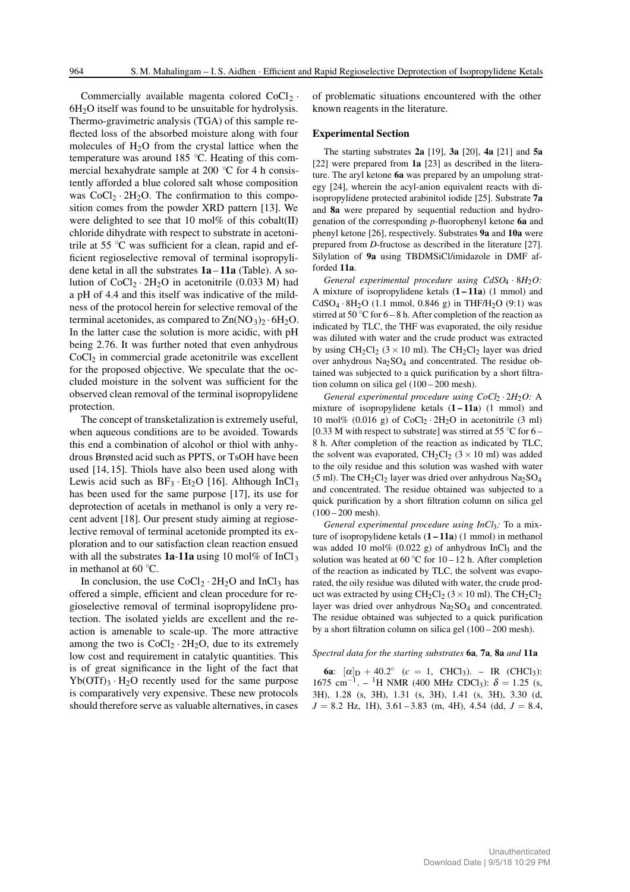Commercially available magenta colored  $CoCl<sub>2</sub>$ .  $6H<sub>2</sub>O$  itself was found to be unsuitable for hydrolysis. Thermo-gravimetric analysis (TGA) of this sample reflected loss of the absorbed moisture along with four molecules of  $H<sub>2</sub>O$  from the crystal lattice when the temperature was around 185 ℃. Heating of this commercial hexahydrate sample at 200 ◦C for 4 h consistently afforded a blue colored salt whose composition was  $CoCl<sub>2</sub> \cdot 2H<sub>2</sub>O$ . The confirmation to this composition comes from the powder XRD pattern [13]. We were delighted to see that 10 mol% of this cobalt(II) chloride dihydrate with respect to substrate in acetonitrile at 55  $\degree$ C was sufficient for a clean, rapid and efficient regioselective removal of terminal isopropylidene ketal in all the substrates **1a** – **11a** (Table). A solution of  $CoCl<sub>2</sub> \cdot 2H<sub>2</sub>O$  in acetonitrile (0.033 M) had a pH of 4.4 and this itself was indicative of the mildness of the protocol herein for selective removal of the terminal acetonides, as compared to  $\text{Zn}(\text{NO}_3)_2 \cdot 6\text{H}_2\text{O}$ . In the latter case the solution is more acidic, with pH being 2.76. It was further noted that even anhydrous  $CoCl<sub>2</sub>$  in commercial grade acetonitrile was excellent for the proposed objective. We speculate that the occluded moisture in the solvent was sufficient for the observed clean removal of the terminal isopropylidene protection.

The concept of transketalization is extremely useful, when aqueous conditions are to be avoided. Towards this end a combination of alcohol or thiol with anhydrous Brønsted acid such as PPTS, or TsOH have been used [14, 15]. Thiols have also been used along with Lewis acid such as  $BF_3 \cdot Et_2O$  [16]. Although InCl<sub>3</sub> has been used for the same purpose [17], its use for deprotection of acetals in methanol is only a very recent advent [18]. Our present study aiming at regioselective removal of terminal acetonide prompted its exploration and to our satisfaction clean reaction ensued with all the substrates  $1a-11a$  using 10 mol% of  $InCl<sub>3</sub>$ in methanol at 60  $°C$ .

In conclusion, the use  $CoCl_2 \cdot 2H_2O$  and  $InCl_3$  has offered a simple, efficient and clean procedure for regioselective removal of terminal isopropylidene protection. The isolated yields are excellent and the reaction is amenable to scale-up. The more attractive among the two is  $CoCl<sub>2</sub> \cdot 2H<sub>2</sub>O$ , due to its extremely low cost and requirement in catalytic quantities. This is of great significance in the light of the fact that  $Yb(OTf)$ <sub>3</sub> · H<sub>2</sub>O recently used for the same purpose is comparatively very expensive. These new protocols should therefore serve as valuable alternatives, in cases

of problematic situations encountered with the other known reagents in the literature.

## **Experimental Section**

The starting substrates **2a** [19], **3a** [20], **4a** [21] and **5a** [22] were prepared from **1a** [23] as described in the literature. The aryl ketone **6a** was prepared by an umpolung strategy [24], wherein the acyl-anion equivalent reacts with diisopropylidene protected arabinitol iodide [25]. Substrate **7a** and **8a** were prepared by sequential reduction and hydrogenation of the corresponding *p*-fluorophenyl ketone **6a** and phenyl ketone [26], respectively. Substrates **9a** and **10a** were prepared from *D*-fructose as described in the literature [27]. Silylation of **9a** using TBDMSiCl/imidazole in DMF afforded **11a**.

*General experimental procedure using CdSO<sub>4</sub> · 8H<sub>2</sub>O:* A mixture of isopropylidene ketals (**1 – 11a**) (1 mmol) and  $CdSO_4 \tcdot 8H_2O$  (1.1 mmol, 0.846 g) in THF/H<sub>2</sub>O (9:1) was stirred at 50  $\degree$ C for 6 – 8 h. After completion of the reaction as indicated by TLC, the THF was evaporated, the oily residue was diluted with water and the crude product was extracted by using  $CH_2Cl_2$  (3 × 10 ml). The  $CH_2Cl_2$  layer was dried over anhydrous  $Na<sub>2</sub>SO<sub>4</sub>$  and concentrated. The residue obtained was subjected to a quick purification by a short filtration column on silica gel (100 – 200 mesh).

*General experimental procedure using CoCl*<sub>2</sub> · 2*H*<sub>2</sub>*O*: A mixture of isopropylidene ketals  $(1 - 11a)$  (1 mmol) and 10 mol% (0.016 g) of  $CoCl_2 \tcdot 2H_2O$  in acetonitrile (3 ml) [0.33 M with respect to substrate] was stirred at 55  $\degree$ C for 6 – 8 h. After completion of the reaction as indicated by TLC, the solvent was evaporated,  $CH_2Cl_2$  (3 × 10 ml) was added to the oily residue and this solution was washed with water (5 ml). The CH<sub>2</sub>Cl<sub>2</sub> layer was dried over anhydrous Na<sub>2</sub>SO<sub>4</sub> and concentrated. The residue obtained was subjected to a quick purification by a short filtration column on silica gel  $(100 - 200$  mesh).

*General experimental procedure using InCl*3*:* To a mixture of isopropylidene ketals (**1 – 11a**) (1 mmol) in methanol was added 10 mol% (0.022 g) of anhydrous  $InCl<sub>3</sub>$  and the solution was heated at 60 °C for  $10 - 12$  h. After completion of the reaction as indicated by TLC, the solvent was evaporated, the oily residue was diluted with water, the crude product was extracted by using  $CH_2Cl_2$  (3 × 10 ml). The  $CH_2Cl_2$ layer was dried over anhydrous Na<sub>2</sub>SO<sub>4</sub> and concentrated. The residue obtained was subjected to a quick purification by a short filtration column on silica gel (100 – 200 mesh).

#### *Spectral data for the starting substrates* **6a***,* **7a***,* **8a** *and* **11a**

**6a**:  $[\alpha]_D + 40.2^{\circ}$  ( $c = 1$ , CHCl<sub>3</sub>). – IR (CHCl<sub>3</sub>): 1675 cm<sup>-1</sup>. – <sup>1</sup>H NMR (400 MHz CDCl<sub>3</sub>): δ = 1.25 (s, 3H), 1.28 (s, 3H), 1.31 (s, 3H), 1.41 (s, 3H), 3.30 (d,  $J = 8.2$  Hz, 1H),  $3.61 - 3.83$  (m, 4H),  $4.54$  (dd,  $J = 8.4$ ,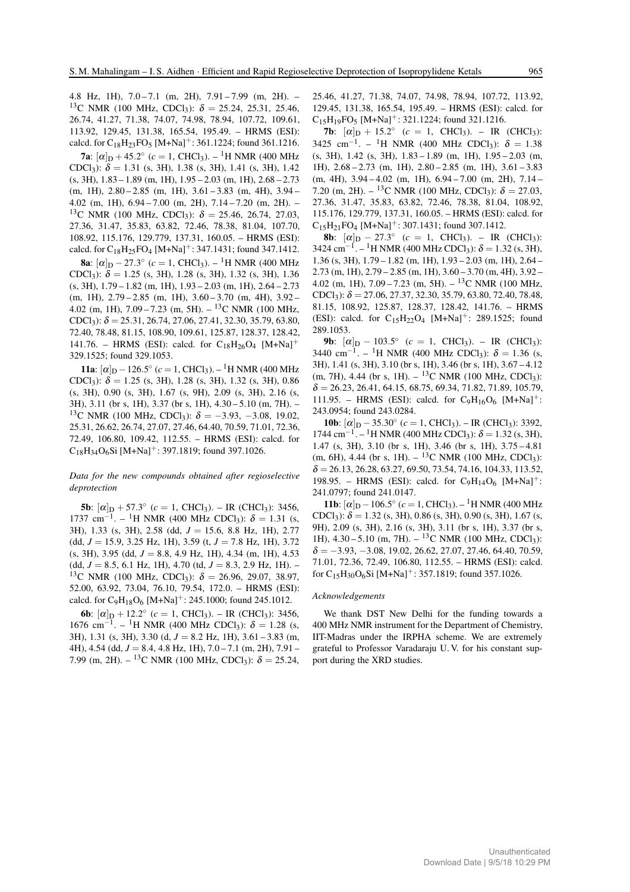4.8 Hz, 1H), 7.0 – 7.1 (m, 2H), 7.91 – 7.99 (m, 2H). – <sup>13</sup>C NMR (100 MHz, CDCl<sub>3</sub>):  $\delta = 25.24, 25.31, 25.46,$ 26.74, 41.27, 71.38, 74.07, 74.98, 78.94, 107.72, 109.61, 113.92, 129.45, 131.38, 165.54, 195.49. – HRMS (ESI): calcd. for  $C_{18}H_{23}FO_5$  [M+Na]<sup>+</sup>: 361.1224; found 361.1216.

**7a**:  $[\alpha]_D + 45.2^{\circ}$  ( $c = 1$ , CHCl<sub>3</sub>). – <sup>1</sup>H NMR (400 MHz CDCl<sub>3</sub>):  $\delta = 1.31$  (s, 3H), 1.38 (s, 3H), 1.41 (s, 3H), 1.42 (s, 3H), 1.83 – 1.89 (m, 1H), 1.95 – 2.03 (m, 1H), 2.68 – 2.73 (m, 1H), 2.80 – 2.85 (m, 1H), 3.61 – 3.83 (m, 4H), 3.94 – 4.02 (m, 1H), 6.94 – 7.00 (m, 2H), 7.14 – 7.20 (m, 2H). – <sup>13</sup>C NMR (100 MHz, CDCl<sub>3</sub>):  $\delta = 25.46, 26.74, 27.03$ , 27.36, 31.47, 35.83, 63.82, 72.46, 78.38, 81.04, 107.70, 108.92, 115.176, 129.779, 137.31, 160.05. – HRMS (ESI): calcd. for  $C_{18}H_{25}FO_4$  [M+Na]<sup>+</sup>: 347.1431; found 347.1412.

**8a**:  $[\alpha]_D - 27.3^\circ$  ( $c = 1$ , CHCl<sub>3</sub>). – <sup>1</sup>H NMR (400 MHz CDCl<sub>3</sub>):  $\delta = 1.25$  (s, 3H), 1.28 (s, 3H), 1.32 (s, 3H), 1.36 (s, 3H), 1.79 – 1.82 (m, 1H), 1.93 – 2.03 (m, 1H), 2.64 – 2.73 (m, 1H), 2.79 – 2.85 (m, 1H), 3.60 – 3.70 (m, 4H), 3.92 – 4.02 (m, 1H),  $7.09 - 7.23$  (m, 5H).  $-$  <sup>13</sup>C NMR (100 MHz, CDCl<sub>3</sub>):  $\delta = 25.31, 26.74, 27.06, 27.41, 32.30, 35.79, 63.80,$ 72.40, 78.48, 81.15, 108.90, 109.61, 125.87, 128.37, 128.42, 141.76. – HRMS (ESI): calcd. for  $C_{18}H_{26}O_4$  [M+Na]<sup>+</sup> 329.1525; found 329.1053.

**11a**:  $[\alpha]_D - 126.5^\circ$  ( $c = 1$ , CHCl<sub>3</sub>). – <sup>1</sup>H NMR (400 MHz CDCl<sub>3</sub>):  $\delta = 1.25$  (s, 3H), 1.28 (s, 3H), 1.32 (s, 3H), 0.86 (s, 3H), 0.90 (s, 3H), 1.67 (s, 9H), 2.09 (s, 3H), 2.16 (s, 3H), 3.11 (br s, 1H), 3.37 (br s, 1H), 4.30 – 5.10 (m, 7H). – <sup>13</sup>C NMR (100 MHz, CDCl<sub>3</sub>):  $\delta = -3.93, -3.08, 19.02,$ 25.31, 26.62, 26.74, 27.07, 27.46, 64.40, 70.59, 71.01, 72.36, 72.49, 106.80, 109.42, 112.55. – HRMS (ESI): calcd. for  $C_{18}H_{34}O_6Si$  [M+Na]<sup>+</sup>: 397.1819; found 397.1026.

### *Data for the new compounds obtained after regioselective deprotection*

**5b**:  $[\alpha]_D + 57.3^\circ$  ( $c = 1$ , CHCl<sub>3</sub>). – IR (CHCl<sub>3</sub>): 3456, 1737 cm<sup>-1</sup>. – <sup>1</sup>H NMR (400 MHz CDCl<sub>3</sub>): δ = 1.31 (s, 3H), 1.33 (s, 3H), 2.58 (dd, *J* = 15.6, 8.8 Hz, 1H), 2.77 (dd, *J* = 15.9, 3.25 Hz, 1H), 3.59 (t, *J* = 7.8 Hz, 1H), 3.72 (s, 3H), 3.95 (dd, *J* = 8.8, 4.9 Hz, 1H), 4.34 (m, 1H), 4.53  $(dd, J = 8.5, 6.1$  Hz, 1H), 4.70 (td,  $J = 8.3, 2.9$  Hz, 1H). – <sup>13</sup>C NMR (100 MHz, CDCl<sub>3</sub>):  $\delta = 26.96, 29.07, 38.97,$ 52.00, 63.92, 73.04, 76.10, 79.54, 172.0. – HRMS (ESI): calcd. for  $C_9H_{18}O_6$  [M+Na]<sup>+</sup>: 245.1000; found 245.1012.

**6b**:  $[\alpha]_D + 12.2^{\circ}$  ( $c = 1$ , CHCl<sub>3</sub>). – IR (CHCl<sub>3</sub>): 3456, 1676 cm<sup>-1</sup>. – <sup>1</sup>H NMR (400 MHz CDCl<sub>3</sub>): δ = 1.28 (s, 3H), 1.31 (s, 3H), 3.30 (d, *J* = 8.2 Hz, 1H), 3.61 – 3.83 (m, 4H), 4.54 (dd, *J* = 8.4, 4.8 Hz, 1H), 7.0 – 7.1 (m, 2H), 7.91 – 7.99 (m, 2H). – <sup>13</sup>C NMR (100 MHz, CDCl<sub>3</sub>):  $\delta = 25.24$ ,

25.46, 41.27, 71.38, 74.07, 74.98, 78.94, 107.72, 113.92, 129.45, 131.38, 165.54, 195.49. – HRMS (ESI): calcd. for  $C_{15}H_{19}FO_5$  [M+Na]<sup>+</sup>: 321.1224; found 321.1216.

**7b**:  $[\alpha]_D + 15.2^{\circ}$  ( $c = 1$ , CHCl<sub>3</sub>). – IR (CHCl<sub>3</sub>): 3425 cm<sup>-1</sup>. – <sup>1</sup>H NMR (400 MHz CDCl<sub>3</sub>):  $\delta = 1.38$ (s, 3H), 1.42 (s, 3H), 1.83 – 1.89 (m, 1H), 1.95 – 2.03 (m, 1H), 2.68 – 2.73 (m, 1H), 2.80 – 2.85 (m, 1H), 3.61 – 3.83 (m, 4H), 3.94 – 4.02 (m, 1H), 6.94 – 7.00 (m, 2H), 7.14 – 7.20 (m, 2H). – <sup>13</sup>C NMR (100 MHz, CDCl<sub>3</sub>):  $\delta = 27.03$ , 27.36, 31.47, 35.83, 63.82, 72.46, 78.38, 81.04, 108.92, 115.176, 129.779, 137.31, 160.05. – HRMS (ESI): calcd. for  $C_{15}H_{21}FO_4$  [M+Na]<sup>+</sup>: 307.1431; found 307.1412.

**8b**:  $[\alpha]_D - 27.3^\circ$  ( $c = 1$ , CHCl<sub>3</sub>). – IR (CHCl<sub>3</sub>): 3424 cm<sup>-1</sup>. – <sup>1</sup>H NMR (400 MHz CDCl<sub>3</sub>):  $\delta$  = 1.32 (s, 3H), 1.36 (s, 3H), 1.79 – 1.82 (m, 1H), 1.93 – 2.03 (m, 1H), 2.64 – 2.73 (m, 1H), 2.79 – 2.85 (m, 1H), 3.60 – 3.70 (m, 4H), 3.92 – 4.02 (m, 1H),  $7.09 - 7.23$  (m, 5H).  $-$  <sup>13</sup>C NMR (100 MHz, CDCl<sub>3</sub>):  $\delta = 27.06, 27.37, 32.30, 35.79, 63.80, 72.40, 78.48,$ 81.15, 108.92, 125.87, 128.37, 128.42, 141.76. – HRMS (ESI): calcd. for  $C_{15}H_{22}O_4$  [M+Na]<sup>+</sup>: 289.1525; found 289.1053.

**9b**:  $[\alpha]_D - 103.5^\circ$  ( $c = 1$ , CHCl<sub>3</sub>). – IR (CHCl<sub>3</sub>): 3440 cm<sup>-1</sup>. – <sup>1</sup>H NMR (400 MHz CDCl<sub>3</sub>):  $\delta = 1.36$  (s, 3H), 1.41 (s, 3H), 3.10 (br s, 1H), 3.46 (br s, 1H), 3.67 – 4.12 (m, 7H), 4.44 (br s, 1H).  $-$  <sup>13</sup>C NMR (100 MHz, CDCl<sub>3</sub>):  $\delta = 26.23, 26.41, 64.15, 68.75, 69.34, 71.82, 71.89, 105.79,$ 111.95. – HRMS (ESI): calcd. for  $C_9H_{16}O_6$  [M+Na]<sup>+</sup>: 243.0954; found 243.0284.

**10b**:  $[\alpha]_D - 35.30^\circ$  ( $c = 1$ , CHCl<sub>3</sub>). – IR (CHCl<sub>3</sub>): 3392, 1744 cm<sup>-1'</sup>. – <sup>1</sup>H NMR (400 MHz CDCl<sub>3</sub>):  $\delta = 1.32$  (s, 3H), 1.47 (s, 3H), 3.10 (br s, 1H), 3.46 (br s, 1H), 3.75 – 4.81  $(m, 6H)$ , 4.44 (br s, 1H). – <sup>13</sup>C NMR (100 MHz, CDCl<sub>3</sub>):  $\delta = 26.13, 26.28, 63.27, 69.50, 73.54, 74.16, 104.33, 113.52,$ 198.95. – HRMS (ESI): calcd. for  $C_9H_{14}O_6$  [M+Na]<sup>+</sup>: 241.0797; found 241.0147.

**11b**:  $[\alpha]_D - 106.5^{\circ}$  ( $c = 1$ , CHCl<sub>3</sub>). – <sup>1</sup>H NMR (400 MHz CDCl<sub>3</sub>):  $\delta = 1.32$  (s, 3H), 0.86 (s, 3H), 0.90 (s, 3H), 1.67 (s, 9H), 2.09 (s, 3H), 2.16 (s, 3H), 3.11 (br s, 1H), 3.37 (br s, 1H),  $4.30 - 5.10$  (m,  $7H$ ).  $-$  <sup>13</sup>C NMR (100 MHz, CDCl<sub>3</sub>):  $\delta = -3.93, -3.08, 19.02, 26.62, 27.07, 27.46, 64.40, 70.59,$ 71.01, 72.36, 72.49, 106.80, 112.55. – HRMS (ESI): calcd. for  $C_{15}H_{30}O_6Si$  [M+Na]<sup>+</sup>: 357.1819; found 357.1026.

#### *Acknowledgements*

We thank DST New Delhi for the funding towards a 400 MHz NMR instrument for the Department of Chemistry, IIT-Madras under the IRPHA scheme. We are extremely grateful to Professor Varadaraju U. V. for his constant support during the XRD studies.

Download Date | 9/5/18 10:29 PM